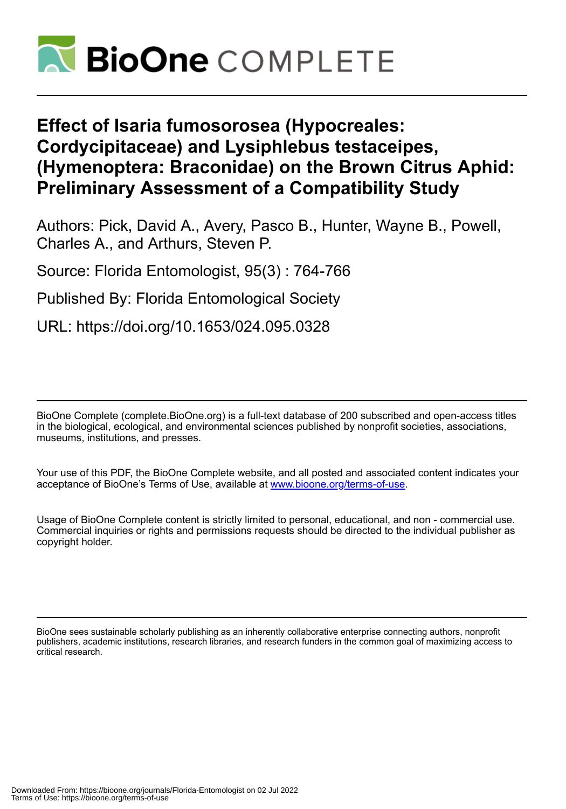

# **Effect of Isaria fumosorosea (Hypocreales: Cordycipitaceae) and Lysiphlebus testaceipes, (Hymenoptera: Braconidae) on the Brown Citrus Aphid: Preliminary Assessment of a Compatibility Study**

Authors: Pick, David A., Avery, Pasco B., Hunter, Wayne B., Powell, Charles A., and Arthurs, Steven P.

Source: Florida Entomologist, 95(3) : 764-766

Published By: Florida Entomological Society

URL: https://doi.org/10.1653/024.095.0328

BioOne Complete (complete.BioOne.org) is a full-text database of 200 subscribed and open-access titles in the biological, ecological, and environmental sciences published by nonprofit societies, associations, museums, institutions, and presses.

Your use of this PDF, the BioOne Complete website, and all posted and associated content indicates your acceptance of BioOne's Terms of Use, available at www.bioone.org/terms-of-use.

Usage of BioOne Complete content is strictly limited to personal, educational, and non - commercial use. Commercial inquiries or rights and permissions requests should be directed to the individual publisher as copyright holder.

BioOne sees sustainable scholarly publishing as an inherently collaborative enterprise connecting authors, nonprofit publishers, academic institutions, research libraries, and research funders in the common goal of maximizing access to critical research.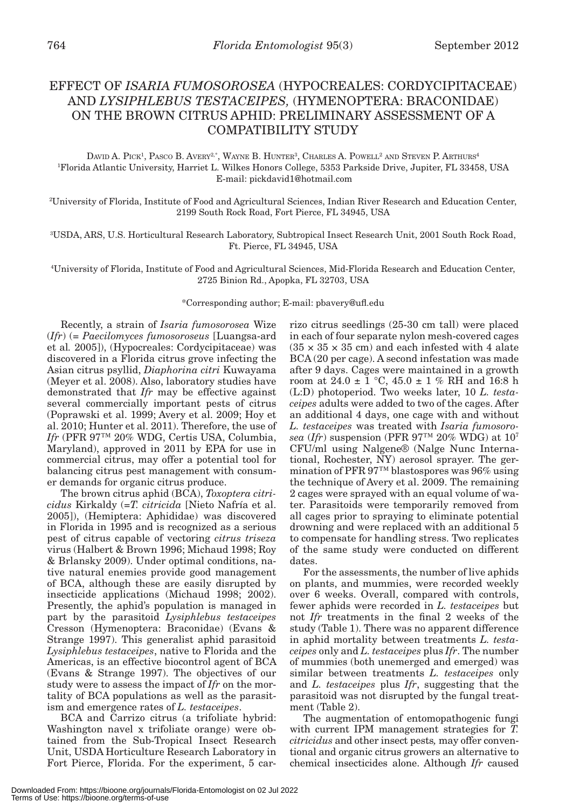## EFFECT OF *ISARIA FUMOSOROSEA* (HYPOCREALES: CORDYCIPITACEAE) AND *LYSIPHLEBUS TESTACEIPES,* (HYMENOPTERA: BRACONIDAE) ON THE BROWN CITRUS APHID: PRELIMINARY ASSESSMENT OF A COMPATIBILITY STUDY

DAVID A. PICK<sup>1</sup>, PASCO B. AVERY<sup>2,\*</sup>, WAYNE B. HUNTER<sup>3</sup>, CHARLES A. POWELL<sup>2</sup> AND STEVEN P. ARTHURS<sup>4</sup> 1 Florida Atlantic University, Harriet L. Wilkes Honors College, 5353 Parkside Drive, Jupiter, FL 33458, USA E-mail: pickdavid1@hotmail.com

2 University of Florida, Institute of Food and Agricultural Sciences, Indian River Research and Education Center, 2199 South Rock Road, Fort Pierce, FL 34945, USA

3 USDA, ARS, U.S. Horticultural Research Laboratory, Subtropical Insect Research Unit, 2001 South Rock Road, Ft. Pierce, FL 34945, USA

4 University of Florida, Institute of Food and Agricultural Sciences, Mid-Florida Research and Education Center, 2725 Binion Rd., Apopka, FL 32703, USA

\*Corresponding author; E-mail: pbavery@ufl.edu

Recently, a strain of *Isaria fumosorosea* Wize (*Ifr*) (= *Paecilomyces fumosoroseus* [Luangsa-ard et al*.* 2005]), (Hypocreales: Cordycipitaceae) was discovered in a Florida citrus grove infecting the Asian citrus psyllid, *Diaphorina citri* Kuwayama (Meyer et al. 2008). Also, laboratory studies have demonstrated that *Ifr* may be effective against several commercially important pests of citrus (Poprawski et al. 1999; Avery et al. 2009; Hoy et al. 2010; Hunter et al. 2011). Therefore, the use of *Ifr* (PFR 97™ 20% WDG, Certis USA, Columbia, Maryland), approved in 2011 by EPA for use in commercial citrus, may offer a potential tool for balancing citrus pest management with consumer demands for organic citrus produce.

The brown citrus aphid (BCA), *Toxoptera citricidus* Kirkaldy (=*T. citricida* [Nieto Nafría et al. 2005]), (Hemiptera: Aphididae) was discovered in Florida in 1995 and is recognized as a serious pest of citrus capable of vectoring *citrus triseza*  virus (Halbert & Brown 1996; Michaud 1998; Roy & Brlansky 2009). Under optimal conditions, native natural enemies provide good management of BCA, although these are easily disrupted by insecticide applications (Michaud 1998; 2002). Presently, the aphid's population is managed in part by the parasitoid *Lysiphlebus testaceipes* Cresson (Hymenoptera: Braconidae) (Evans & Strange 1997). This generalist aphid parasitoid *Lysiphlebus testaceipes*, native to Florida and the Americas, is an effective biocontrol agent of BCA (Evans & Strange 1997). The objectives of our study were to assess the impact of *Ifr* on the mortality of BCA populations as well as the parasitism and emergence rates of *L. testaceipes*.

BCA and Carrizo citrus (a trifoliate hybrid: Washington navel x trifoliate orange) were obtained from the Sub-Tropical Insect Research Unit, USDA Horticulture Research Laboratory in Fort Pierce, Florida. For the experiment, 5 carrizo citrus seedlings (25-30 cm tall) were placed in each of four separate nylon mesh-covered cages  $(35 \times 35 \times 35$  cm) and each infested with 4 alate BCA (20 per cage). A second infestation was made after 9 days. Cages were maintained in a growth room at  $24.0 \pm 1$  °C,  $45.0 \pm 1$  % RH and 16:8 h (L:D) photoperiod. Two weeks later, 10 *L. testaceipes* adults were added to two of the cages. After an additional 4 days, one cage with and without *L. testaceipes* was treated with *Isaria fumosorosea* (*Ifr*) suspension (PFR 97™ 20% WDG) at 107 CFU/ml using Nalgene® (Nalge Nunc International, Rochester, NY) aerosol sprayer. The germination of PFR 97™ blastospores was 96% using the technique of Avery et al. 2009. The remaining 2 cages were sprayed with an equal volume of water. Parasitoids were temporarily removed from all cages prior to spraying to eliminate potential drowning and were replaced with an additional 5 to compensate for handling stress. Two replicates of the same study were conducted on different dates.

For the assessments, the number of live aphids on plants, and mummies, were recorded weekly over 6 weeks. Overall, compared with controls, fewer aphids were recorded in *L. testaceipes* but not *Ifr* treatments in the final 2 weeks of the study (Table 1). There was no apparent difference in aphid mortality between treatments *L. testaceipes* only and *L. testaceipes* plus *Ifr*. The number of mummies (both unemerged and emerged) was similar between treatments *L. testaceipes* only and *L. testaceipes* plus *Ifr*, suggesting that the parasitoid was not disrupted by the fungal treatment (Table 2).

The augmentation of entomopathogenic fungi with current IPM management strategies for *T. citricidus* and other insect pests*,* may offer conventional and organic citrus growers an alternative to chemical insecticides alone. Although *Ifr* caused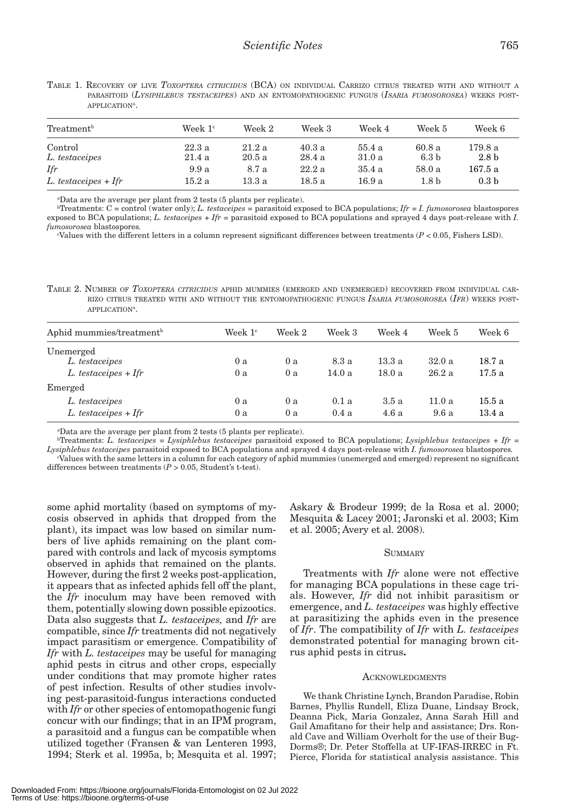| Treatment <sup>b</sup>    | Week $1c$      | Week 2         | Week 3          | Week 4           | Week 5                    | Week 6                      |  |
|---------------------------|----------------|----------------|-----------------|------------------|---------------------------|-----------------------------|--|
| Control<br>L. testaceipes | 22.3a<br>21.4a | 21.2a<br>20.5a | 40.3 a<br>28.4a | 55.4 a<br>31.0 a | 60.8a<br>6.3 <sub>b</sub> | 179.8 a<br>2.8 <sub>b</sub> |  |
| Ifr                       | 9.9a           | 8.7 a          | 22.2a           | 35.4a            | 58.0a                     | 167.5 a                     |  |
| $L.$ testaceipes + Ifr    | 15.2a          | 13.3 a         | 18.5 a          | 16.9 a           | 1.8 <sub>b</sub>          | 0.3 <sub>b</sub>            |  |

TABLE 1. RECOVERY OF LIVE *TOXOPTERA CITRICIDUS* (BCA) ON INDIVIDUAL CARRIZO CITRUS TREATED WITH AND WITHOUT <sup>A</sup> PARASITOID (*LYSIPHLEBUS TESTACEIPES*) AND AN ENTOMOPATHOGENIC FUNGUS (*ISARIA FUMOSOROSEA*) WEEKS POST-APPLICATION<sup>A</sup>.

a Data are the average per plant from 2 tests (5 plants per replicate).

 $b$ Treatments:  $C =$  control (water only); *L. testaceipes* = parasitoid exposed to BCA populations;  $Ifr = I$ . fumosorosea blastospores exposed to BCA populations; *L. testaceipes* + *Ifr* = parasitoid exposed to BCA populations and sprayed 4 days post-release with *I. fumosorosea* blastospores*.*

c Values with the different letters in a column represent significant differences between treatments (*P* < 0.05, Fishers LSD).

TABLE 2. NUMBER OF *TOXOPTERA CITRICIDUS* APHID MUMMIES (EMERGED AND UNEMERGED) RECOVERED FROM INDIVIDUAL CAR-RIZO CITRUS TREATED WITH AND WITHOUT THE ENTOMOPATHOGENIC FUNGUS *ISARIA FUMOSOROSEA* (*IFR*) WEEKS POST-APPLICATION<sup>A</sup>.

| Aphid mummies/treatment <sup>b</sup> | Week $1c$ | Week 2 | Week 3 | Week 4 | Week 5 | Week 6 |
|--------------------------------------|-----------|--------|--------|--------|--------|--------|
| Unemerged                            |           |        |        |        |        |        |
| L. testaceipes                       | 0a        | 0a     | 8.3 a  | 13.3a  | 32.0a  | 18.7 a |
| $L. test accepts + If r$             | 0 a       | 0 a    | 14.0 a | 18.0a  | 26.2a  | 17.5a  |
| Emerged                              |           |        |        |        |        |        |
| L. testaceipes                       | 0 a       | 0 a    | 0.1a   | 3.5a   | 11.0a  | 15.5 a |
| $L. test aceipes + Ifr$              | 0 a       | 0a     | 0.4a   | 4.6a   | 9.6a   | 13.4a  |

a Data are the average per plant from 2 tests (5 plants per replicate).

b Treatments: *L. testaceipes* = *Lysiphlebus testaceipes* parasitoid exposed to BCA populations; *Lysiphlebus testaceipes* + *Ifr* = *Lysiphlebus testaceipes* parasitoid exposed to BCA populations and sprayed 4 days post-release with *I. fumosorosea* blastospores*.* c Values with the same letters in a column for each category of aphid mummies (unemerged and emerged) represent no significant differences between treatments (*P* > 0.05, Student's t-test).

some aphid mortality (based on symptoms of mycosis observed in aphids that dropped from the plant), its impact was low based on similar numbers of live aphids remaining on the plant compared with controls and lack of mycosis symptoms observed in aphids that remained on the plants. However, during the first 2 weeks post-application, it appears that as infected aphids fell off the plant, the *Ifr* inoculum may have been removed with them, potentially slowing down possible epizootics. Data also suggests that *L. testaceipes,* and *Ifr* are compatible, since *Ifr* treatments did not negatively impact parasitism or emergence. Compatibility of *Ifr* with *L. testaceipes* may be useful for managing aphid pests in citrus and other crops, especially under conditions that may promote higher rates of pest infection. Results of other studies involving pest-parasitoid-fungus interactions conducted with *Ifr* or other species of entomopathogenic fungi concur with our findings; that in an IPM program, a parasitoid and a fungus can be compatible when utilized together (Fransen & van Lenteren 1993, 1994; Sterk et al. 1995a, b; Mesquita et al. 1997; Askary & Brodeur 1999; de la Rosa et al. 2000; Mesquita & Lacey 2001; Jaronski et al. 2003; Kim et al. 2005; Avery et al. 2008).

#### **SUMMARY**

Treatments with *Ifr* alone were not effective for managing BCA populations in these cage trials. However, *Ifr* did not inhibit parasitism or emergence, and *L. testaceipes* was highly effective at parasitizing the aphids even in the presence of *Ifr*. The compatibility of *Ifr* with *L. testaceipes* demonstrated potential for managing brown citrus aphid pests in citrus**.**

#### **ACKNOWLEDGMENTS**

We thank Christine Lynch, Brandon Paradise, Robin Barnes, Phyllis Rundell, Eliza Duane, Lindsay Brock, Deanna Pick, Maria Gonzalez, Anna Sarah Hill and Gail Amafitano for their help and assistance; Drs. Ronald Cave and William Overholt for the use of their Bug-Dorms®; Dr. Peter Stoffella at UF-IFAS-IRREC in Ft. Pierce, Florida for statistical analysis assistance. This